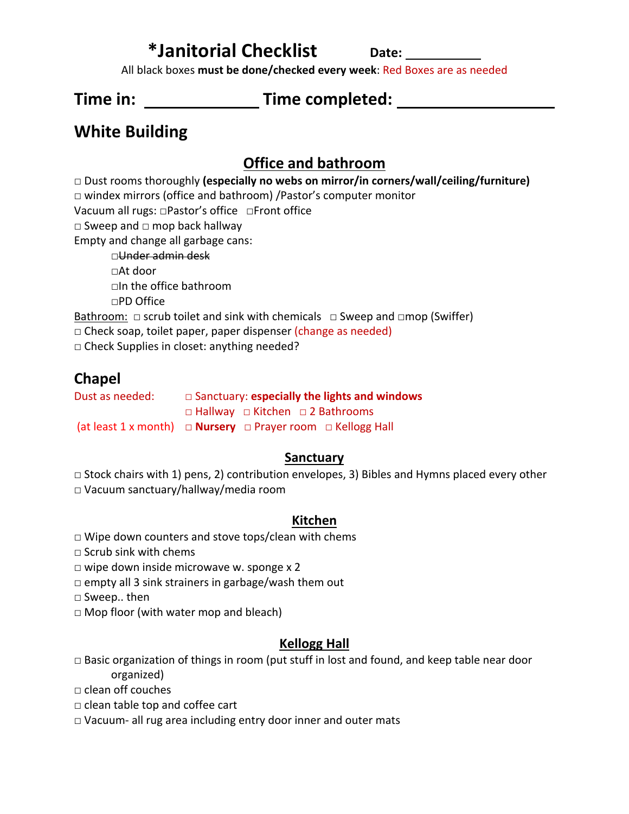# **\*Janitorial Checklist Date:**

All black boxes **must be done/checked every week**: Red Boxes are as needed

# **Time in: Time completed:**

# **White Building**

## **Office and bathroom**

□ Dust rooms thoroughly **(especially no webs on mirror/in corners/wall/ceiling/furniture)**

□ windex mirrors (office and bathroom) /Pastor's computer monitor

Vacuum all rugs: □Pastor's office □Front office

□ Sweep and □ mop back hallway

Empty and change all garbage cans:

□Under admin desk □At door □In the office bathroom □PD Office

Bathroom: □ scrub toilet and sink with chemicals □ Sweep and □mop (Swiffer)

 $\Box$  Check soap, toilet paper, paper dispenser (change as needed)

□ Check Supplies in closet: anything needed?

## **Chapel**

Dust as needed: □ Sanctuary: **especially the lights and windows**  □ Hallway □ Kitchen □ 2 Bathrooms (at least 1 x month) **□ Nursery** □ Prayer room □ Kellogg Hall

### **Sanctuary**

 $\Box$  Stock chairs with 1) pens, 2) contribution envelopes, 3) Bibles and Hymns placed every other

□ Vacuum sanctuary/hallway/media room

### **Kitchen**

- □ Wipe down counters and stove tops/clean with chems
- □ Scrub sink with chems
- $\Box$  wipe down inside microwave w. sponge x 2
- $\Box$  empty all 3 sink strainers in garbage/wash them out

□ Sweep.. then

 $\Box$  Mop floor (with water mop and bleach)

### **Kellogg Hall**

 $\Box$  Basic organization of things in room (put stuff in lost and found, and keep table near door organized)

□ clean off couches

- □ clean table top and coffee cart
- □ Vacuum- all rug area including entry door inner and outer mats